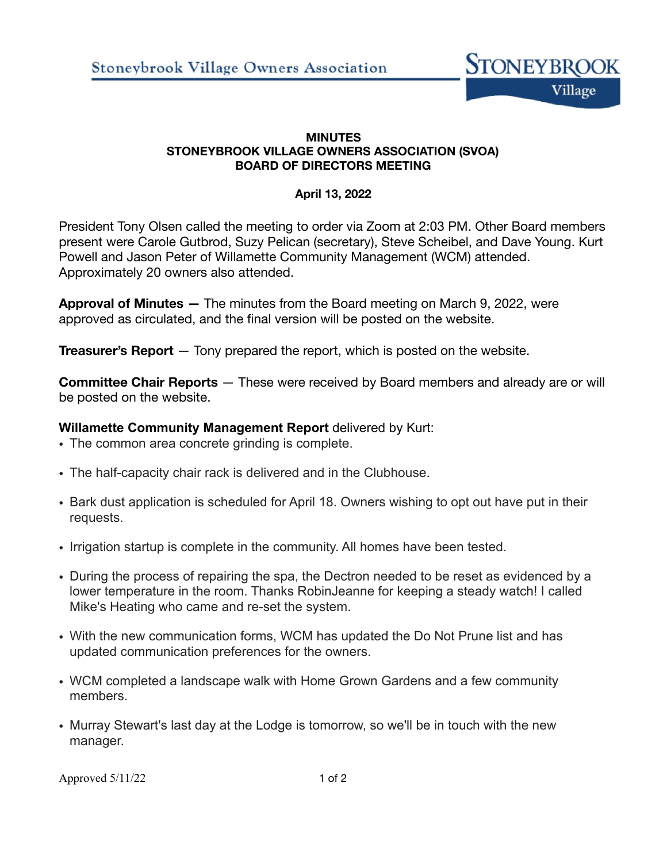

### **MINUTES STONEYBROOK VILLAGE OWNERS ASSOCIATION (SVOA) BOARD OF DIRECTORS MEETING**

## **April 13, 2022**

President Tony Olsen called the meeting to order via Zoom at 2:03 PM. Other Board members present were Carole Gutbrod, Suzy Pelican (secretary), Steve Scheibel, and Dave Young. Kurt Powell and Jason Peter of Willamette Community Management (WCM) attended. Approximately 20 owners also attended.

**Approval of Minutes —** The minutes from the Board meeting on March 9, 2022, were approved as circulated, and the final version will be posted on the website.

**Treasurer's Report** — Tony prepared the report, which is posted on the website.

**Committee Chair Reports** — These were received by Board members and already are or will be posted on the website.

## **Willamette Community Management Report** delivered by Kurt:

- The common area concrete grinding is complete.
- The half-capacity chair rack is delivered and in the Clubhouse.
- Bark dust application is scheduled for April 18. Owners wishing to opt out have put in their requests.
- Irrigation startup is complete in the community. All homes have been tested.
- During the process of repairing the spa, the Dectron needed to be reset as evidenced by a lower temperature in the room. Thanks RobinJeanne for keeping a steady watch! I called Mike's Heating who came and re-set the system.
- With the new communication forms, WCM has updated the Do Not Prune list and has updated communication preferences for the owners.
- WCM completed a landscape walk with Home Grown Gardens and a few community members.
- Murray Stewart's last day at the Lodge is tomorrow, so we'll be in touch with the new manager.

Approved  $5/11/22$  1 of 2